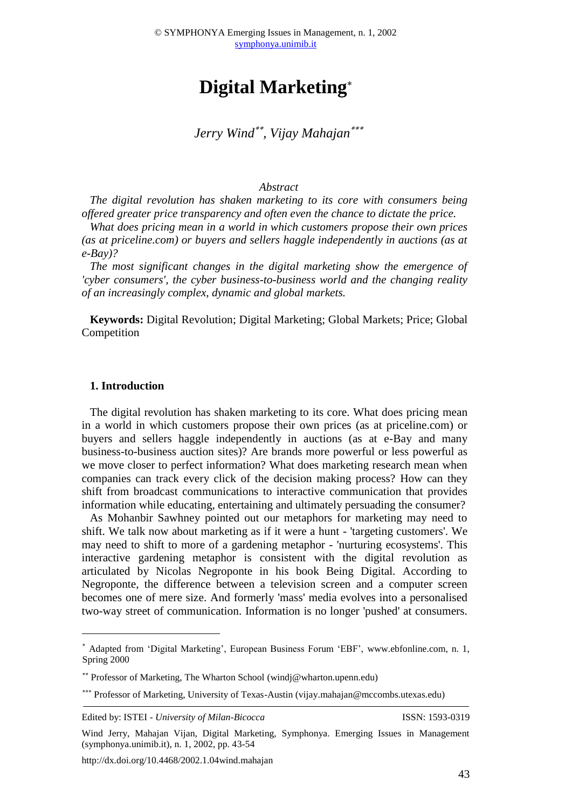# **Digital Marketing**

*Jerry Wind , Vijay Mahajan*

#### *Abstract*

*The digital revolution has shaken marketing to its core with consumers being offered greater price transparency and often even the chance to dictate the price.*

*What does pricing mean in a world in which customers propose their own prices (as at priceline.com) or buyers and sellers haggle independently in auctions (as at e-Bay)?* 

*The most significant changes in the digital marketing show the emergence of 'cyber consumers', the cyber business-to-business world and the changing reality of an increasingly complex, dynamic and global markets.*

**Keywords:** Digital Revolution; Digital Marketing; Global Markets; Price; Global Competition

#### **1. Introduction**

<u>.</u>

The digital revolution has shaken marketing to its core. What does pricing mean in a world in which customers propose their own prices (as at priceline.com) or buyers and sellers haggle independently in auctions (as at e-Bay and many business-to-business auction sites)? Are brands more powerful or less powerful as we move closer to perfect information? What does marketing research mean when companies can track every click of the decision making process? How can they shift from broadcast communications to interactive communication that provides information while educating, entertaining and ultimately persuading the consumer?

As Mohanbir Sawhney pointed out our metaphors for marketing may need to shift. We talk now about marketing as if it were a hunt - 'targeting customers'. We may need to shift to more of a gardening metaphor - 'nurturing ecosystems'. This interactive gardening metaphor is consistent with the digital revolution as articulated by Nicolas Negroponte in his book Being Digital. According to Negroponte, the difference between a television screen and a computer screen becomes one of mere size. And formerly 'mass' media evolves into a personalised two-way street of communication. Information is no longer 'pushed' at consumers.

Edited by: ISTEI - *University of Milan-Bicocca* ISSN: 1593-0319

http://dx.doi.org/10.4468/2002.1.04wind.mahajan

Adapted from 'Digital Marketing', European Business Forum 'EBF', [www.ebfonline.com,](http://www.ebfonline.com/) n. 1, Spring 2000

Professor of Marketing, The Wharton School (windj@wharton.upenn.edu)

<sup>\*\*\*</sup> Professor of Marketing, University of Texas-Austin (vijay.mahajan@mccombs.utexas.edu)

Wind Jerry, Mahajan Vijan, Digital Marketing, Symphonya. Emerging Issues in Management (symphonya.unimib.it), n. 1, 2002, pp. 43-54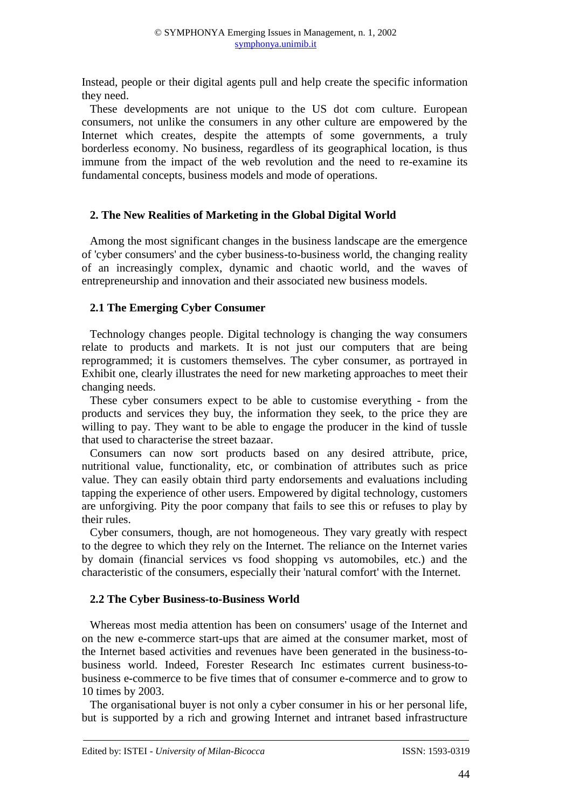Instead, people or their digital agents pull and help create the specific information they need.

These developments are not unique to the US dot com culture. European consumers, not unlike the consumers in any other culture are empowered by the Internet which creates, despite the attempts of some governments, a truly borderless economy. No business, regardless of its geographical location, is thus immune from the impact of the web revolution and the need to re-examine its fundamental concepts, business models and mode of operations.

## **2. The New Realities of Marketing in the Global Digital World**

Among the most significant changes in the business landscape are the emergence of 'cyber consumers' and the cyber business-to-business world, the changing reality of an increasingly complex, dynamic and chaotic world, and the waves of entrepreneurship and innovation and their associated new business models.

#### **2.1 The Emerging Cyber Consumer**

Technology changes people. Digital technology is changing the way consumers relate to products and markets. It is not just our computers that are being reprogrammed; it is customers themselves. The cyber consumer, as portrayed in Exhibit one, clearly illustrates the need for new marketing approaches to meet their changing needs.

These cyber consumers expect to be able to customise everything - from the products and services they buy, the information they seek, to the price they are willing to pay. They want to be able to engage the producer in the kind of tussle that used to characterise the street bazaar.

Consumers can now sort products based on any desired attribute, price, nutritional value, functionality, etc, or combination of attributes such as price value. They can easily obtain third party endorsements and evaluations including tapping the experience of other users. Empowered by digital technology, customers are unforgiving. Pity the poor company that fails to see this or refuses to play by their rules.

Cyber consumers, though, are not homogeneous. They vary greatly with respect to the degree to which they rely on the Internet. The reliance on the Internet varies by domain (financial services vs food shopping vs automobiles, etc.) and the characteristic of the consumers, especially their 'natural comfort' with the Internet.

# **2.2 The Cyber Business-to-Business World**

Whereas most media attention has been on consumers' usage of the Internet and on the new e-commerce start-ups that are aimed at the consumer market, most of the Internet based activities and revenues have been generated in the business-tobusiness world. Indeed, Forester Research Inc estimates current business-tobusiness e-commerce to be five times that of consumer e-commerce and to grow to 10 times by 2003.

The organisational buyer is not only a cyber consumer in his or her personal life, but is supported by a rich and growing Internet and intranet based infrastructure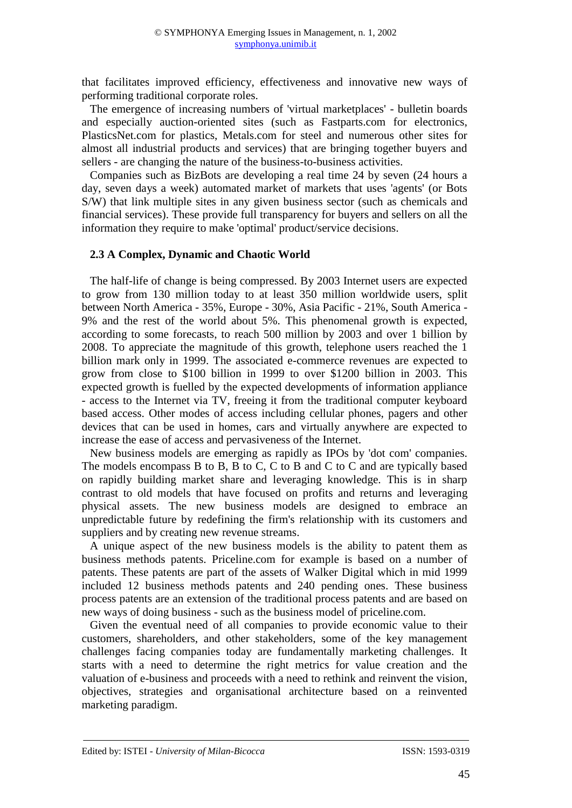that facilitates improved efficiency, effectiveness and innovative new ways of performing traditional corporate roles.

The emergence of increasing numbers of 'virtual marketplaces' - bulletin boards and especially auction-oriented sites (such as Fastparts.com for electronics, PlasticsNet.com for plastics, Metals.com for steel and numerous other sites for almost all industrial products and services) that are bringing together buyers and sellers - are changing the nature of the business-to-business activities.

Companies such as BizBots are developing a real time 24 by seven (24 hours a day, seven days a week) automated market of markets that uses 'agents' (or Bots S/W) that link multiple sites in any given business sector (such as chemicals and financial services). These provide full transparency for buyers and sellers on all the information they require to make 'optimal' product/service decisions.

#### **2.3 A Complex, Dynamic and Chaotic World**

The half-life of change is being compressed. By 2003 Internet users are expected to grow from 130 million today to at least 350 million worldwide users, split between North America - 35%, Europe - 30%, Asia Pacific - 21%, South America - 9% and the rest of the world about 5%. This phenomenal growth is expected, according to some forecasts, to reach 500 million by 2003 and over 1 billion by 2008. To appreciate the magnitude of this growth, telephone users reached the 1 billion mark only in 1999. The associated e-commerce revenues are expected to grow from close to \$100 billion in 1999 to over \$1200 billion in 2003. This expected growth is fuelled by the expected developments of information appliance - access to the Internet via TV, freeing it from the traditional computer keyboard based access. Other modes of access including cellular phones, pagers and other devices that can be used in homes, cars and virtually anywhere are expected to increase the ease of access and pervasiveness of the Internet.

New business models are emerging as rapidly as IPOs by 'dot com' companies. The models encompass B to B, B to C, C to B and C to C and are typically based on rapidly building market share and leveraging knowledge. This is in sharp contrast to old models that have focused on profits and returns and leveraging physical assets. The new business models are designed to embrace an unpredictable future by redefining the firm's relationship with its customers and suppliers and by creating new revenue streams.

A unique aspect of the new business models is the ability to patent them as business methods patents. Priceline.com for example is based on a number of patents. These patents are part of the assets of Walker Digital which in mid 1999 included 12 business methods patents and 240 pending ones. These business process patents are an extension of the traditional process patents and are based on new ways of doing business - such as the business model of priceline.com.

Given the eventual need of all companies to provide economic value to their customers, shareholders, and other stakeholders, some of the key management challenges facing companies today are fundamentally marketing challenges. It starts with a need to determine the right metrics for value creation and the valuation of e-business and proceeds with a need to rethink and reinvent the vision, objectives, strategies and organisational architecture based on a reinvented marketing paradigm.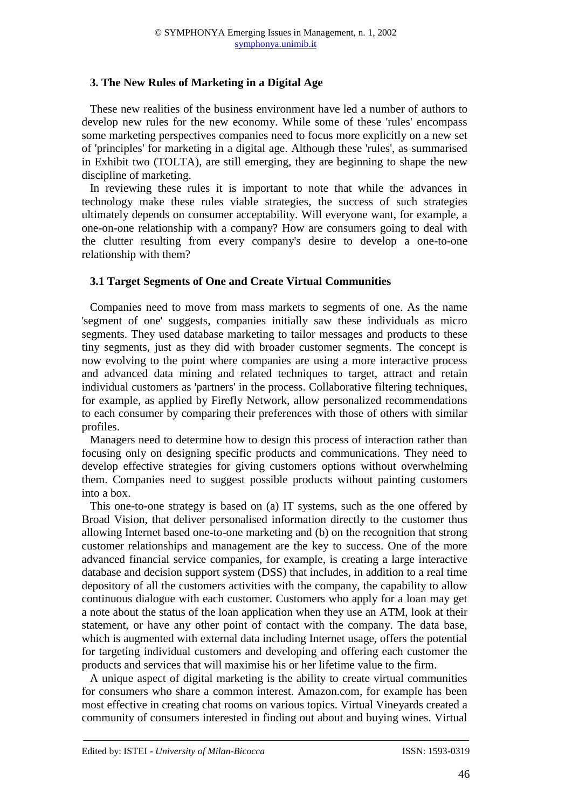## **3. The New Rules of Marketing in a Digital Age**

These new realities of the business environment have led a number of authors to develop new rules for the new economy. While some of these 'rules' encompass some marketing perspectives companies need to focus more explicitly on a new set of 'principles' for marketing in a digital age. Although these 'rules', as summarised in Exhibit two (TOLTA), are still emerging, they are beginning to shape the new discipline of marketing.

In reviewing these rules it is important to note that while the advances in technology make these rules viable strategies, the success of such strategies ultimately depends on consumer acceptability. Will everyone want, for example, a one-on-one relationship with a company? How are consumers going to deal with the clutter resulting from every company's desire to develop a one-to-one relationship with them?

# **3.1 Target Segments of One and Create Virtual Communities**

Companies need to move from mass markets to segments of one. As the name 'segment of one' suggests, companies initially saw these individuals as micro segments. They used database marketing to tailor messages and products to these tiny segments, just as they did with broader customer segments. The concept is now evolving to the point where companies are using a more interactive process and advanced data mining and related techniques to target, attract and retain individual customers as 'partners' in the process. Collaborative filtering techniques, for example, as applied by Firefly Network, allow personalized recommendations to each consumer by comparing their preferences with those of others with similar profiles.

Managers need to determine how to design this process of interaction rather than focusing only on designing specific products and communications. They need to develop effective strategies for giving customers options without overwhelming them. Companies need to suggest possible products without painting customers into a box.

This one-to-one strategy is based on (a) IT systems, such as the one offered by Broad Vision, that deliver personalised information directly to the customer thus allowing Internet based one-to-one marketing and (b) on the recognition that strong customer relationships and management are the key to success. One of the more advanced financial service companies, for example, is creating a large interactive database and decision support system (DSS) that includes, in addition to a real time depository of all the customers activities with the company, the capability to allow continuous dialogue with each customer. Customers who apply for a loan may get a note about the status of the loan application when they use an ATM, look at their statement, or have any other point of contact with the company. The data base, which is augmented with external data including Internet usage, offers the potential for targeting individual customers and developing and offering each customer the products and services that will maximise his or her lifetime value to the firm.

A unique aspect of digital marketing is the ability to create virtual communities for consumers who share a common interest. Amazon.com, for example has been most effective in creating chat rooms on various topics. Virtual Vineyards created a community of consumers interested in finding out about and buying wines. Virtual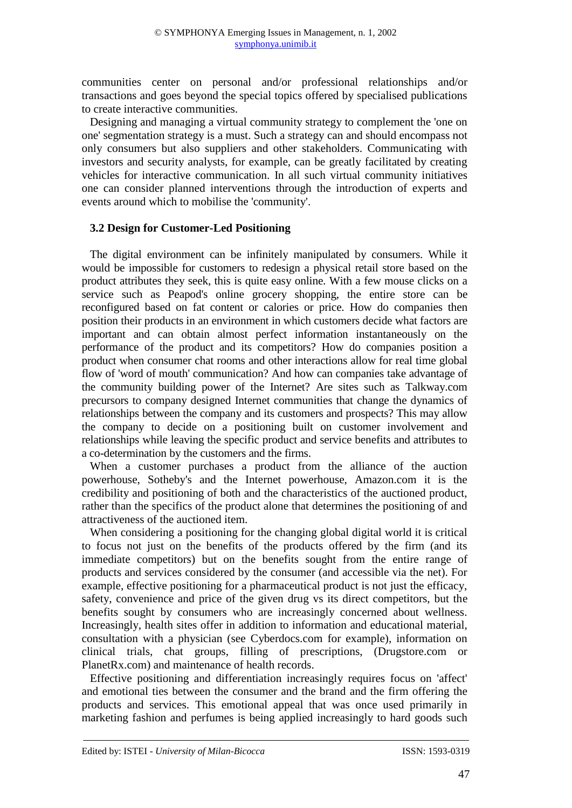communities center on personal and/or professional relationships and/or transactions and goes beyond the special topics offered by specialised publications to create interactive communities.

Designing and managing a virtual community strategy to complement the 'one on one' segmentation strategy is a must. Such a strategy can and should encompass not only consumers but also suppliers and other stakeholders. Communicating with investors and security analysts, for example, can be greatly facilitated by creating vehicles for interactive communication. In all such virtual community initiatives one can consider planned interventions through the introduction of experts and events around which to mobilise the 'community'.

#### **3.2 Design for Customer-Led Positioning**

The digital environment can be infinitely manipulated by consumers. While it would be impossible for customers to redesign a physical retail store based on the product attributes they seek, this is quite easy online. With a few mouse clicks on a service such as Peapod's online grocery shopping, the entire store can be reconfigured based on fat content or calories or price. How do companies then position their products in an environment in which customers decide what factors are important and can obtain almost perfect information instantaneously on the performance of the product and its competitors? How do companies position a product when consumer chat rooms and other interactions allow for real time global flow of 'word of mouth' communication? And how can companies take advantage of the community building power of the Internet? Are sites such as Talkway.com precursors to company designed Internet communities that change the dynamics of relationships between the company and its customers and prospects? This may allow the company to decide on a positioning built on customer involvement and relationships while leaving the specific product and service benefits and attributes to a co-determination by the customers and the firms.

When a customer purchases a product from the alliance of the auction powerhouse, Sotheby's and the Internet powerhouse, Amazon.com it is the credibility and positioning of both and the characteristics of the auctioned product, rather than the specifics of the product alone that determines the positioning of and attractiveness of the auctioned item.

When considering a positioning for the changing global digital world it is critical to focus not just on the benefits of the products offered by the firm (and its immediate competitors) but on the benefits sought from the entire range of products and services considered by the consumer (and accessible via the net). For example, effective positioning for a pharmaceutical product is not just the efficacy, safety, convenience and price of the given drug vs its direct competitors, but the benefits sought by consumers who are increasingly concerned about wellness. Increasingly, health sites offer in addition to information and educational material, consultation with a physician (see Cyberdocs.com for example), information on clinical trials, chat groups, filling of prescriptions, (Drugstore.com or PlanetRx.com) and maintenance of health records.

Effective positioning and differentiation increasingly requires focus on 'affect' and emotional ties between the consumer and the brand and the firm offering the products and services. This emotional appeal that was once used primarily in marketing fashion and perfumes is being applied increasingly to hard goods such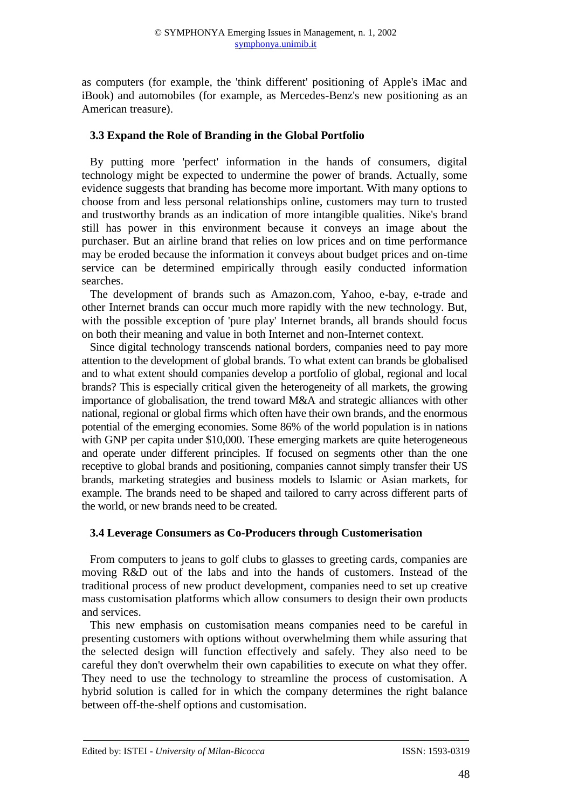as computers (for example, the 'think different' positioning of Apple's iMac and iBook) and automobiles (for example, as Mercedes-Benz's new positioning as an American treasure).

## **3.3 Expand the Role of Branding in the Global Portfolio**

By putting more 'perfect' information in the hands of consumers, digital technology might be expected to undermine the power of brands. Actually, some evidence suggests that branding has become more important. With many options to choose from and less personal relationships online, customers may turn to trusted and trustworthy brands as an indication of more intangible qualities. Nike's brand still has power in this environment because it conveys an image about the purchaser. But an airline brand that relies on low prices and on time performance may be eroded because the information it conveys about budget prices and on-time service can be determined empirically through easily conducted information searches.

The development of brands such as Amazon.com, Yahoo, e-bay, e-trade and other Internet brands can occur much more rapidly with the new technology. But, with the possible exception of 'pure play' Internet brands, all brands should focus on both their meaning and value in both Internet and non-Internet context.

Since digital technology transcends national borders, companies need to pay more attention to the development of global brands. To what extent can brands be globalised and to what extent should companies develop a portfolio of global, regional and local brands? This is especially critical given the heterogeneity of all markets, the growing importance of globalisation, the trend toward M&A and strategic alliances with other national, regional or global firms which often have their own brands, and the enormous potential of the emerging economies. Some 86% of the world population is in nations with GNP per capita under \$10,000. These emerging markets are quite heterogeneous and operate under different principles. If focused on segments other than the one receptive to global brands and positioning, companies cannot simply transfer their US brands, marketing strategies and business models to Islamic or Asian markets, for example. The brands need to be shaped and tailored to carry across different parts of the world, or new brands need to be created.

# **3.4 Leverage Consumers as Co-Producers through Customerisation**

From computers to jeans to golf clubs to glasses to greeting cards, companies are moving R&D out of the labs and into the hands of customers. Instead of the traditional process of new product development, companies need to set up creative mass customisation platforms which allow consumers to design their own products and services.

This new emphasis on customisation means companies need to be careful in presenting customers with options without overwhelming them while assuring that the selected design will function effectively and safely. They also need to be careful they don't overwhelm their own capabilities to execute on what they offer. They need to use the technology to streamline the process of customisation. A hybrid solution is called for in which the company determines the right balance between off-the-shelf options and customisation.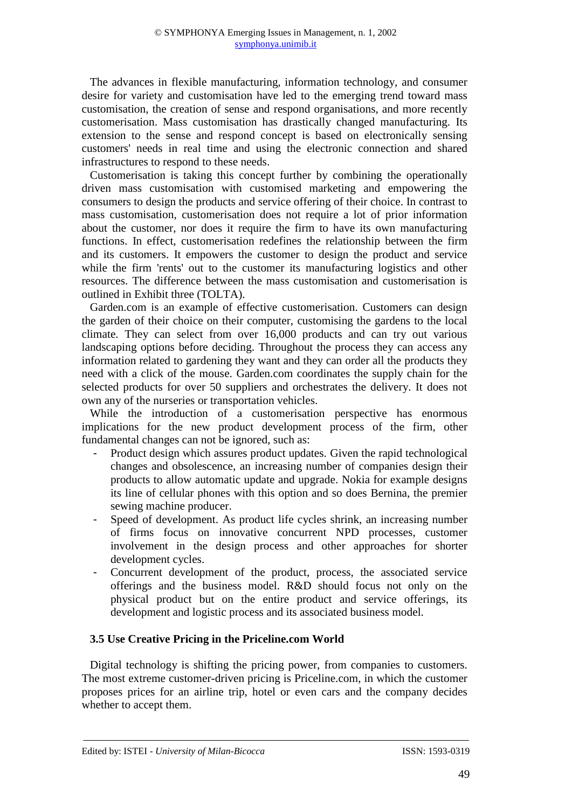The advances in flexible manufacturing, information technology, and consumer desire for variety and customisation have led to the emerging trend toward mass customisation, the creation of sense and respond organisations, and more recently customerisation. Mass customisation has drastically changed manufacturing. Its extension to the sense and respond concept is based on electronically sensing customers' needs in real time and using the electronic connection and shared infrastructures to respond to these needs.

Customerisation is taking this concept further by combining the operationally driven mass customisation with customised marketing and empowering the consumers to design the products and service offering of their choice. In contrast to mass customisation, customerisation does not require a lot of prior information about the customer, nor does it require the firm to have its own manufacturing functions. In effect, customerisation redefines the relationship between the firm and its customers. It empowers the customer to design the product and service while the firm 'rents' out to the customer its manufacturing logistics and other resources. The difference between the mass customisation and customerisation is outlined in Exhibit three (TOLTA).

Garden.com is an example of effective customerisation. Customers can design the garden of their choice on their computer, customising the gardens to the local climate. They can select from over 16,000 products and can try out various landscaping options before deciding. Throughout the process they can access any information related to gardening they want and they can order all the products they need with a click of the mouse. Garden.com coordinates the supply chain for the selected products for over 50 suppliers and orchestrates the delivery. It does not own any of the nurseries or transportation vehicles.

While the introduction of a customerisation perspective has enormous implications for the new product development process of the firm, other fundamental changes can not be ignored, such as:

- Product design which assures product updates. Given the rapid technological changes and obsolescence, an increasing number of companies design their products to allow automatic update and upgrade. Nokia for example designs its line of cellular phones with this option and so does Bernina, the premier sewing machine producer.
- Speed of development. As product life cycles shrink, an increasing number of firms focus on innovative concurrent NPD processes, customer involvement in the design process and other approaches for shorter development cycles.
- Concurrent development of the product, process, the associated service offerings and the business model. R&D should focus not only on the physical product but on the entire product and service offerings, its development and logistic process and its associated business model.

# **3.5 Use Creative Pricing in the Priceline.com World**

Digital technology is shifting the pricing power, from companies to customers. The most extreme customer-driven pricing is Priceline.com, in which the customer proposes prices for an airline trip, hotel or even cars and the company decides whether to accept them.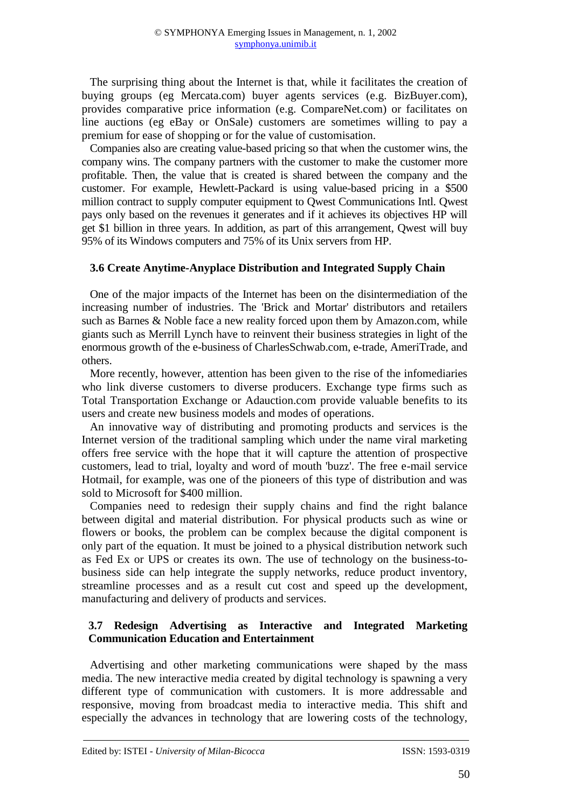The surprising thing about the Internet is that, while it facilitates the creation of buying groups (eg Mercata.com) buyer agents services (e.g. BizBuyer.com), provides comparative price information (e.g. CompareNet.com) or facilitates on line auctions (eg eBay or OnSale) customers are sometimes willing to pay a premium for ease of shopping or for the value of customisation.

Companies also are creating value-based pricing so that when the customer wins, the company wins. The company partners with the customer to make the customer more profitable. Then, the value that is created is shared between the company and the customer. For example, Hewlett-Packard is using value-based pricing in a \$500 million contract to supply computer equipment to Qwest Communications Intl. Qwest pays only based on the revenues it generates and if it achieves its objectives HP will get \$1 billion in three years. In addition, as part of this arrangement, Qwest will buy 95% of its Windows computers and 75% of its Unix servers from HP.

## **3.6 Create Anytime-Anyplace Distribution and Integrated Supply Chain**

One of the major impacts of the Internet has been on the disintermediation of the increasing number of industries. The 'Brick and Mortar' distributors and retailers such as Barnes & Noble face a new reality forced upon them by Amazon.com, while giants such as Merrill Lynch have to reinvent their business strategies in light of the enormous growth of the e-business of CharlesSchwab.com, e-trade, AmeriTrade, and others.

More recently, however, attention has been given to the rise of the infomediaries who link diverse customers to diverse producers. Exchange type firms such as Total Transportation Exchange or Adauction.com provide valuable benefits to its users and create new business models and modes of operations.

An innovative way of distributing and promoting products and services is the Internet version of the traditional sampling which under the name viral marketing offers free service with the hope that it will capture the attention of prospective customers, lead to trial, loyalty and word of mouth 'buzz'. The free e-mail service Hotmail, for example, was one of the pioneers of this type of distribution and was sold to Microsoft for \$400 million.

Companies need to redesign their supply chains and find the right balance between digital and material distribution. For physical products such as wine or flowers or books, the problem can be complex because the digital component is only part of the equation. It must be joined to a physical distribution network such as Fed Ex or UPS or creates its own. The use of technology on the business-tobusiness side can help integrate the supply networks, reduce product inventory, streamline processes and as a result cut cost and speed up the development, manufacturing and delivery of products and services.

# **3.7 Redesign Advertising as Interactive and Integrated Marketing Communication Education and Entertainment**

Advertising and other marketing communications were shaped by the mass media. The new interactive media created by digital technology is spawning a very different type of communication with customers. It is more addressable and responsive, moving from broadcast media to interactive media. This shift and especially the advances in technology that are lowering costs of the technology,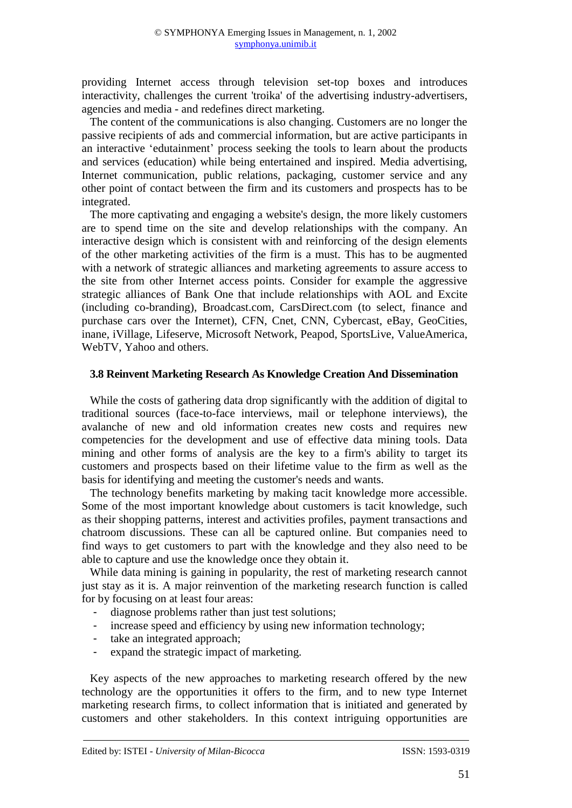providing Internet access through television set-top boxes and introduces interactivity, challenges the current 'troika' of the advertising industry-advertisers, agencies and media - and redefines direct marketing.

The content of the communications is also changing. Customers are no longer the passive recipients of ads and commercial information, but are active participants in an interactive 'edutainment' process seeking the tools to learn about the products and services (education) while being entertained and inspired. Media advertising, Internet communication, public relations, packaging, customer service and any other point of contact between the firm and its customers and prospects has to be integrated.

The more captivating and engaging a website's design, the more likely customers are to spend time on the site and develop relationships with the company. An interactive design which is consistent with and reinforcing of the design elements of the other marketing activities of the firm is a must. This has to be augmented with a network of strategic alliances and marketing agreements to assure access to the site from other Internet access points. Consider for example the aggressive strategic alliances of Bank One that include relationships with AOL and Excite (including co-branding), Broadcast.com, CarsDirect.com (to select, finance and purchase cars over the Internet), CFN, Cnet, CNN, Cybercast, eBay, GeoCities, inane, iVillage, Lifeserve, Microsoft Network, Peapod, SportsLive, ValueAmerica, WebTV, Yahoo and others.

#### **3.8 Reinvent Marketing Research As Knowledge Creation And Dissemination**

While the costs of gathering data drop significantly with the addition of digital to traditional sources (face-to-face interviews, mail or telephone interviews), the avalanche of new and old information creates new costs and requires new competencies for the development and use of effective data mining tools. Data mining and other forms of analysis are the key to a firm's ability to target its customers and prospects based on their lifetime value to the firm as well as the basis for identifying and meeting the customer's needs and wants.

The technology benefits marketing by making tacit knowledge more accessible. Some of the most important knowledge about customers is tacit knowledge, such as their shopping patterns, interest and activities profiles, payment transactions and chatroom discussions. These can all be captured online. But companies need to find ways to get customers to part with the knowledge and they also need to be able to capture and use the knowledge once they obtain it.

While data mining is gaining in popularity, the rest of marketing research cannot just stay as it is. A major reinvention of the marketing research function is called for by focusing on at least four areas:

- diagnose problems rather than just test solutions;
- increase speed and efficiency by using new information technology;
- take an integrated approach;
- expand the strategic impact of marketing.

Key aspects of the new approaches to marketing research offered by the new technology are the opportunities it offers to the firm, and to new type Internet marketing research firms, to collect information that is initiated and generated by customers and other stakeholders. In this context intriguing opportunities are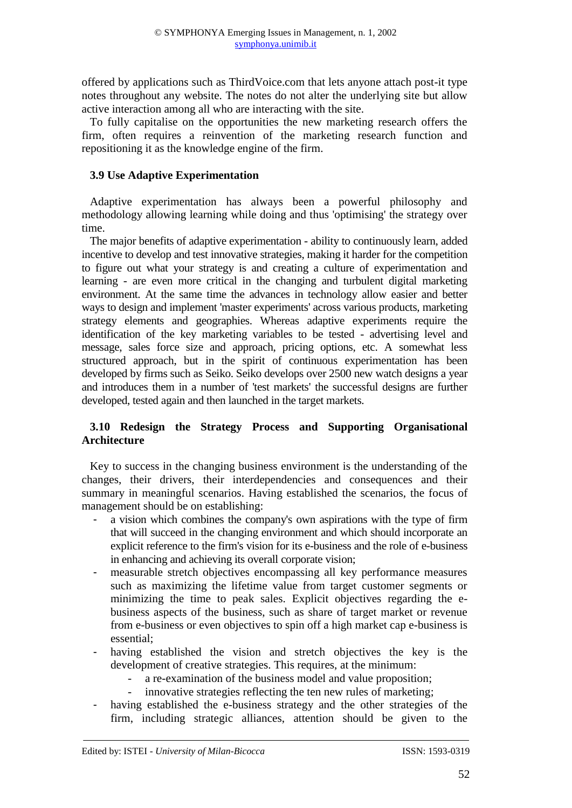offered by applications such as ThirdVoice.com that lets anyone attach post-it type notes throughout any website. The notes do not alter the underlying site but allow active interaction among all who are interacting with the site.

To fully capitalise on the opportunities the new marketing research offers the firm, often requires a reinvention of the marketing research function and repositioning it as the knowledge engine of the firm.

## **3.9 Use Adaptive Experimentation**

Adaptive experimentation has always been a powerful philosophy and methodology allowing learning while doing and thus 'optimising' the strategy over time.

The major benefits of adaptive experimentation - ability to continuously learn, added incentive to develop and test innovative strategies, making it harder for the competition to figure out what your strategy is and creating a culture of experimentation and learning - are even more critical in the changing and turbulent digital marketing environment. At the same time the advances in technology allow easier and better ways to design and implement 'master experiments' across various products, marketing strategy elements and geographies. Whereas adaptive experiments require the identification of the key marketing variables to be tested - advertising level and message, sales force size and approach, pricing options, etc. A somewhat less structured approach, but in the spirit of continuous experimentation has been developed by firms such as Seiko. Seiko develops over 2500 new watch designs a year and introduces them in a number of 'test markets' the successful designs are further developed, tested again and then launched in the target markets.

# **3.10 Redesign the Strategy Process and Supporting Organisational Architecture**

Key to success in the changing business environment is the understanding of the changes, their drivers, their interdependencies and consequences and their summary in meaningful scenarios. Having established the scenarios, the focus of management should be on establishing:

- a vision which combines the company's own aspirations with the type of firm that will succeed in the changing environment and which should incorporate an explicit reference to the firm's vision for its e-business and the role of e-business in enhancing and achieving its overall corporate vision;
- measurable stretch objectives encompassing all key performance measures such as maximizing the lifetime value from target customer segments or minimizing the time to peak sales. Explicit objectives regarding the ebusiness aspects of the business, such as share of target market or revenue from e-business or even objectives to spin off a high market cap e-business is essential;
- having established the vision and stretch objectives the key is the development of creative strategies. This requires, at the minimum:
	- a re-examination of the business model and value proposition;
	- innovative strategies reflecting the ten new rules of marketing;
- having established the e-business strategy and the other strategies of the firm, including strategic alliances, attention should be given to the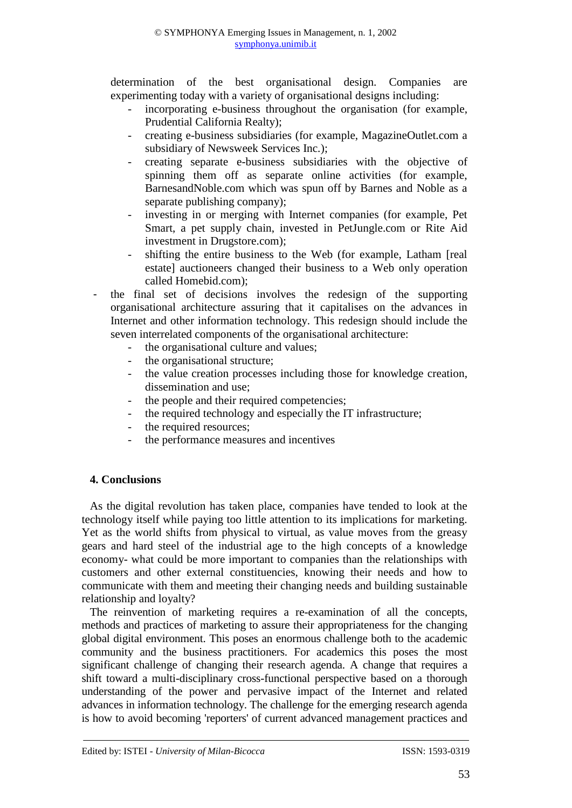determination of the best organisational design. Companies are experimenting today with a variety of organisational designs including:

- incorporating e-business throughout the organisation (for example, Prudential California Realty);
- creating e-business subsidiaries (for example, MagazineOutlet.com a subsidiary of Newsweek Services Inc.);
- creating separate e-business subsidiaries with the objective of spinning them off as separate online activities (for example, BarnesandNoble.com which was spun off by Barnes and Noble as a separate publishing company);
- investing in or merging with Internet companies (for example, Pet Smart, a pet supply chain, invested in PetJungle.com or Rite Aid investment in Drugstore.com);
- shifting the entire business to the Web (for example, Latham [real estate] auctioneers changed their business to a Web only operation called Homebid.com);
- the final set of decisions involves the redesign of the supporting organisational architecture assuring that it capitalises on the advances in Internet and other information technology. This redesign should include the seven interrelated components of the organisational architecture:
	- the organisational culture and values;
	- the organisational structure;
	- the value creation processes including those for knowledge creation, dissemination and use;
	- the people and their required competencies;
	- the required technology and especially the IT infrastructure;
	- the required resources;
	- the performance measures and incentives

# **4. Conclusions**

As the digital revolution has taken place, companies have tended to look at the technology itself while paying too little attention to its implications for marketing. Yet as the world shifts from physical to virtual, as value moves from the greasy gears and hard steel of the industrial age to the high concepts of a knowledge economy- what could be more important to companies than the relationships with customers and other external constituencies, knowing their needs and how to communicate with them and meeting their changing needs and building sustainable relationship and loyalty?

The reinvention of marketing requires a re-examination of all the concepts, methods and practices of marketing to assure their appropriateness for the changing global digital environment. This poses an enormous challenge both to the academic community and the business practitioners. For academics this poses the most significant challenge of changing their research agenda. A change that requires a shift toward a multi-disciplinary cross-functional perspective based on a thorough understanding of the power and pervasive impact of the Internet and related advances in information technology. The challenge for the emerging research agenda is how to avoid becoming 'reporters' of current advanced management practices and